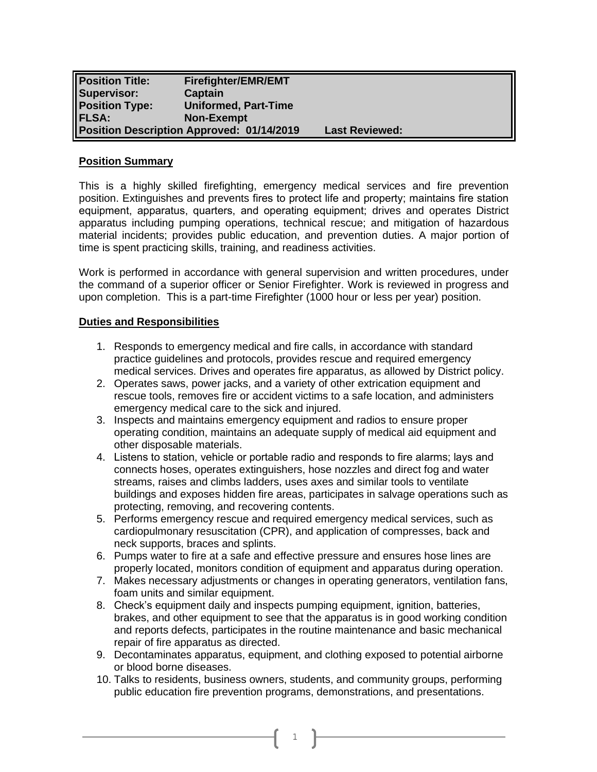| <b>Position Title:</b><br>Supervisor: | <b>Firefighter/EMR/EMT</b><br>Captain            |                       |
|---------------------------------------|--------------------------------------------------|-----------------------|
| <b>Position Type:</b>                 | <b>Uniformed, Part-Time</b>                      |                       |
| <b>FLSA:</b>                          | <b>Non-Exempt</b>                                |                       |
|                                       | <b>Position Description Approved: 01/14/2019</b> | <b>Last Reviewed:</b> |

#### **Position Summary**

This is a highly skilled firefighting, emergency medical services and fire prevention position. Extinguishes and prevents fires to protect life and property; maintains fire station equipment, apparatus, quarters, and operating equipment; drives and operates District apparatus including pumping operations, technical rescue; and mitigation of hazardous material incidents; provides public education, and prevention duties. A major portion of time is spent practicing skills, training, and readiness activities.

Work is performed in accordance with general supervision and written procedures, under the command of a superior officer or Senior Firefighter. Work is reviewed in progress and upon completion. This is a part-time Firefighter (1000 hour or less per year) position.

### **Duties and Responsibilities**

- 1. Responds to emergency medical and fire calls, in accordance with standard practice guidelines and protocols, provides rescue and required emergency medical services. Drives and operates fire apparatus, as allowed by District policy.
- 2. Operates saws, power jacks, and a variety of other extrication equipment and rescue tools, removes fire or accident victims to a safe location, and administers emergency medical care to the sick and injured.
- 3. Inspects and maintains emergency equipment and radios to ensure proper operating condition, maintains an adequate supply of medical aid equipment and other disposable materials.
- 4. Listens to station, vehicle or portable radio and responds to fire alarms; lays and connects hoses, operates extinguishers, hose nozzles and direct fog and water streams, raises and climbs ladders, uses axes and similar tools to ventilate buildings and exposes hidden fire areas, participates in salvage operations such as protecting, removing, and recovering contents.
- 5. Performs emergency rescue and required emergency medical services, such as cardiopulmonary resuscitation (CPR), and application of compresses, back and neck supports, braces and splints.
- 6. Pumps water to fire at a safe and effective pressure and ensures hose lines are properly located, monitors condition of equipment and apparatus during operation.
- 7. Makes necessary adjustments or changes in operating generators, ventilation fans, foam units and similar equipment.
- 8. Check's equipment daily and inspects pumping equipment, ignition, batteries, brakes, and other equipment to see that the apparatus is in good working condition and reports defects, participates in the routine maintenance and basic mechanical repair of fire apparatus as directed.
- 9. Decontaminates apparatus, equipment, and clothing exposed to potential airborne or blood borne diseases.
- 10. Talks to residents, business owners, students, and community groups, performing public education fire prevention programs, demonstrations, and presentations.

1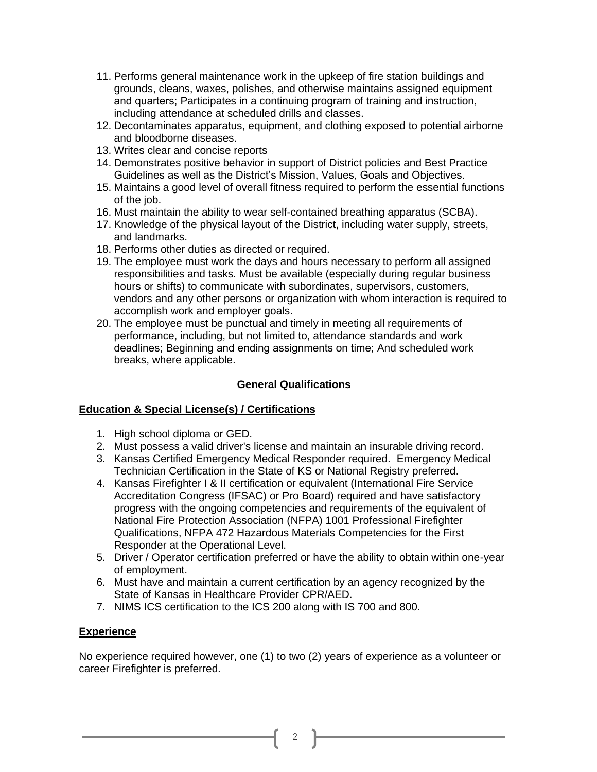- 11. Performs general maintenance work in the upkeep of fire station buildings and grounds, cleans, waxes, polishes, and otherwise maintains assigned equipment and quarters; Participates in a continuing program of training and instruction, including attendance at scheduled drills and classes.
- 12. Decontaminates apparatus, equipment, and clothing exposed to potential airborne and bloodborne diseases.
- 13. Writes clear and concise reports
- 14. Demonstrates positive behavior in support of District policies and Best Practice Guidelines as well as the District's Mission, Values, Goals and Objectives.
- 15. Maintains a good level of overall fitness required to perform the essential functions of the job.
- 16. Must maintain the ability to wear self-contained breathing apparatus (SCBA).
- 17. Knowledge of the physical layout of the District, including water supply, streets, and landmarks.
- 18. Performs other duties as directed or required.
- 19. The employee must work the days and hours necessary to perform all assigned responsibilities and tasks. Must be available (especially during regular business hours or shifts) to communicate with subordinates, supervisors, customers, vendors and any other persons or organization with whom interaction is required to accomplish work and employer goals.
- 20. The employee must be punctual and timely in meeting all requirements of performance, including, but not limited to, attendance standards and work deadlines; Beginning and ending assignments on time; And scheduled work breaks, where applicable.

## **General Qualifications**

## **Education & Special License(s) / Certifications**

- 1. High school diploma or GED.
- 2. Must possess a valid driver's license and maintain an insurable driving record.
- 3. Kansas Certified Emergency Medical Responder required. Emergency Medical Technician Certification in the State of KS or National Registry preferred.
- 4. Kansas Firefighter I & II certification or equivalent (International Fire Service Accreditation Congress (IFSAC) or Pro Board) required and have satisfactory progress with the ongoing competencies and requirements of the equivalent of National Fire Protection Association (NFPA) 1001 Professional Firefighter Qualifications, NFPA 472 Hazardous Materials Competencies for the First Responder at the Operational Level.
- 5. Driver / Operator certification preferred or have the ability to obtain within one-year of employment.
- 6. Must have and maintain a current certification by an agency recognized by the State of Kansas in Healthcare Provider CPR/AED.
- 7. NIMS ICS certification to the ICS 200 along with IS 700 and 800.

## **Experience**

No experience required however, one (1) to two (2) years of experience as a volunteer or career Firefighter is preferred.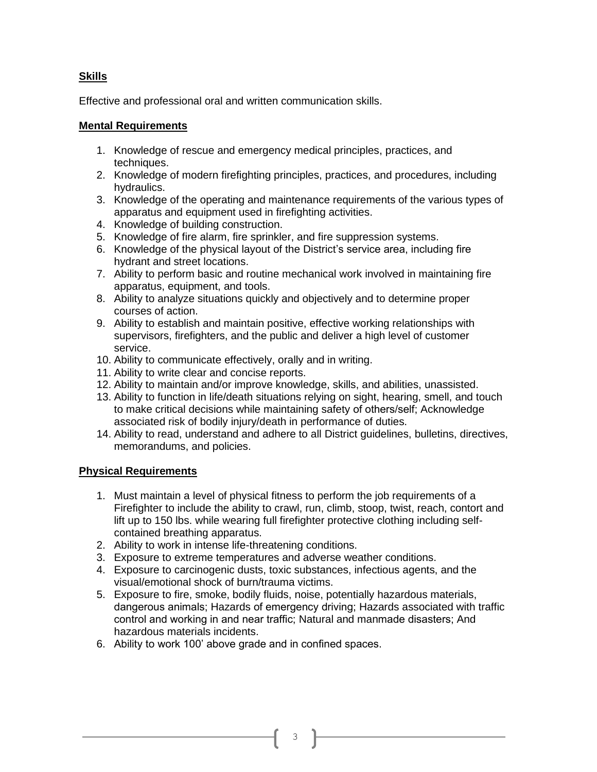# **Skills**

Effective and professional oral and written communication skills.

## **Mental Requirements**

- 1. Knowledge of rescue and emergency medical principles, practices, and techniques.
- 2. Knowledge of modern firefighting principles, practices, and procedures, including hydraulics.
- 3. Knowledge of the operating and maintenance requirements of the various types of apparatus and equipment used in firefighting activities.
- 4. Knowledge of building construction.
- 5. Knowledge of fire alarm, fire sprinkler, and fire suppression systems.
- 6. Knowledge of the physical layout of the District's service area, including fire hydrant and street locations.
- 7. Ability to perform basic and routine mechanical work involved in maintaining fire apparatus, equipment, and tools.
- 8. Ability to analyze situations quickly and objectively and to determine proper courses of action.
- 9. Ability to establish and maintain positive, effective working relationships with supervisors, firefighters, and the public and deliver a high level of customer service.
- 10. Ability to communicate effectively, orally and in writing.
- 11. Ability to write clear and concise reports.
- 12. Ability to maintain and/or improve knowledge, skills, and abilities, unassisted.
- 13. Ability to function in life/death situations relying on sight, hearing, smell, and touch to make critical decisions while maintaining safety of others/self; Acknowledge associated risk of bodily injury/death in performance of duties.
- 14. Ability to read, understand and adhere to all District guidelines, bulletins, directives, memorandums, and policies.

## **Physical Requirements**

- 1. Must maintain a level of physical fitness to perform the job requirements of a Firefighter to include the ability to crawl, run, climb, stoop, twist, reach, contort and lift up to 150 lbs. while wearing full firefighter protective clothing including selfcontained breathing apparatus.
- 2. Ability to work in intense life-threatening conditions.
- 3. Exposure to extreme temperatures and adverse weather conditions.
- 4. Exposure to carcinogenic dusts, toxic substances, infectious agents, and the visual/emotional shock of burn/trauma victims.
- 5. Exposure to fire, smoke, bodily fluids, noise, potentially hazardous materials, dangerous animals; Hazards of emergency driving; Hazards associated with traffic control and working in and near traffic; Natural and manmade disasters; And hazardous materials incidents.
- 6. Ability to work 100' above grade and in confined spaces.